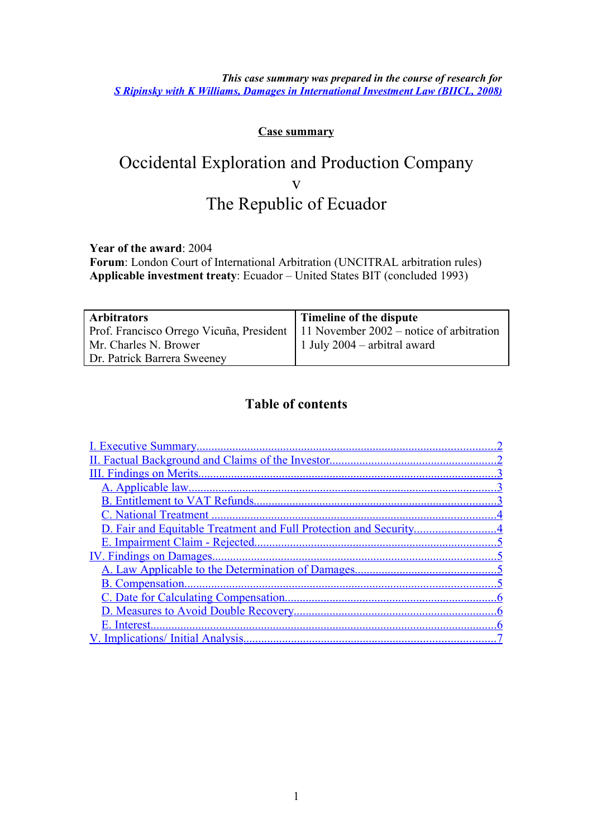*This case summary was prepared in the course of research for [S Ripinsky with K Williams, Damages in International Investment Law \(BIICL, 2008\)](http://www.biicl.org/publications/view/-/id/126/)*

#### **Case summary**

# Occidental Exploration and Production Company v The Republic of Ecuador

**Year of the award**: 2004

**Forum**: London Court of International Arbitration (UNCITRAL arbitration rules) **Applicable investment treaty**: Ecuador – United States BIT (concluded 1993)

| <b>Arbitrators</b>                                                                  | Timeline of the dispute        |
|-------------------------------------------------------------------------------------|--------------------------------|
| Prof. Francisco Orrego Vicuña, President   11 November 2002 – notice of arbitration |                                |
| Mr. Charles N. Brower                                                               | 1 July $2004$ – arbitral award |
| Dr. Patrick Barrera Sweeney                                                         |                                |

#### **Table of contents**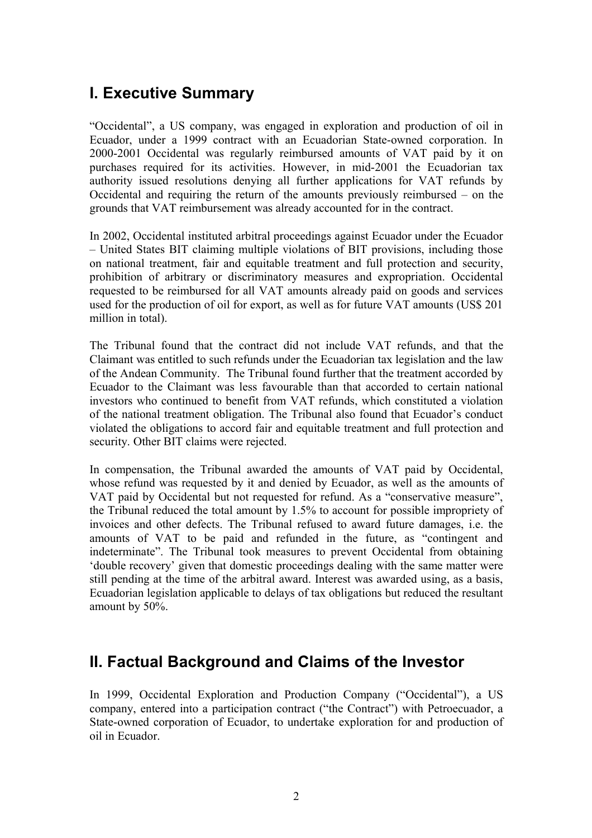## <span id="page-1-1"></span>**I. Executive Summary**

"Occidental", a US company, was engaged in exploration and production of oil in Ecuador, under a 1999 contract with an Ecuadorian State-owned corporation. In 2000-2001 Occidental was regularly reimbursed amounts of VAT paid by it on purchases required for its activities. However, in mid-2001 the Ecuadorian tax authority issued resolutions denying all further applications for VAT refunds by Occidental and requiring the return of the amounts previously reimbursed – on the grounds that VAT reimbursement was already accounted for in the contract.

In 2002, Occidental instituted arbitral proceedings against Ecuador under the Ecuador – United States BIT claiming multiple violations of BIT provisions, including those on national treatment, fair and equitable treatment and full protection and security, prohibition of arbitrary or discriminatory measures and expropriation. Occidental requested to be reimbursed for all VAT amounts already paid on goods and services used for the production of oil for export, as well as for future VAT amounts (US\$ 201 million in total).

The Tribunal found that the contract did not include VAT refunds, and that the Claimant was entitled to such refunds under the Ecuadorian tax legislation and the law of the Andean Community. The Tribunal found further that the treatment accorded by Ecuador to the Claimant was less favourable than that accorded to certain national investors who continued to benefit from VAT refunds, which constituted a violation of the national treatment obligation. The Tribunal also found that Ecuador's conduct violated the obligations to accord fair and equitable treatment and full protection and security. Other BIT claims were rejected.

In compensation, the Tribunal awarded the amounts of VAT paid by Occidental, whose refund was requested by it and denied by Ecuador, as well as the amounts of VAT paid by Occidental but not requested for refund. As a "conservative measure", the Tribunal reduced the total amount by 1.5% to account for possible impropriety of invoices and other defects. The Tribunal refused to award future damages, i.e. the amounts of VAT to be paid and refunded in the future, as "contingent and indeterminate". The Tribunal took measures to prevent Occidental from obtaining 'double recovery' given that domestic proceedings dealing with the same matter were still pending at the time of the arbitral award. Interest was awarded using, as a basis, Ecuadorian legislation applicable to delays of tax obligations but reduced the resultant amount by 50%.

### <span id="page-1-0"></span>**II. Factual Background and Claims of the Investor**

In 1999, Occidental Exploration and Production Company ("Occidental"), a US company, entered into a participation contract ("the Contract") with Petroecuador, a State-owned corporation of Ecuador, to undertake exploration for and production of oil in Ecuador.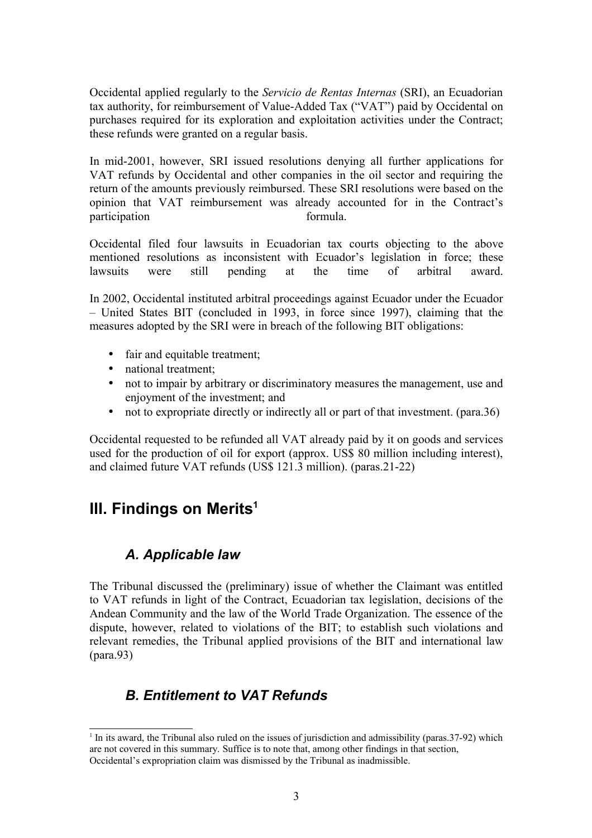Occidental applied regularly to the *Servicio de Rentas Internas* (SRI), an Ecuadorian tax authority, for reimbursement of Value-Added Tax ("VAT") paid by Occidental on purchases required for its exploration and exploitation activities under the Contract; these refunds were granted on a regular basis.

In mid-2001, however, SRI issued resolutions denying all further applications for VAT refunds by Occidental and other companies in the oil sector and requiring the return of the amounts previously reimbursed. These SRI resolutions were based on the opinion that VAT reimbursement was already accounted for in the Contract's participation formula.

Occidental filed four lawsuits in Ecuadorian tax courts objecting to the above mentioned resolutions as inconsistent with Ecuador's legislation in force; these lawsuits were still pending at the time of arbitral award.

In 2002, Occidental instituted arbitral proceedings against Ecuador under the Ecuador – United States BIT (concluded in 1993, in force since 1997), claiming that the measures adopted by the SRI were in breach of the following BIT obligations:

- fair and equitable treatment:
- national treatment:
- not to impair by arbitrary or discriminatory measures the management, use and enjoyment of the investment; and
- not to expropriate directly or indirectly all or part of that investment. (para.36)

Occidental requested to be refunded all VAT already paid by it on goods and services used for the production of oil for export (approx. US\$ 80 million including interest), and claimed future VAT refunds (US\$ 121.3 million). (paras.21-22)

### <span id="page-2-2"></span>**III. Findings on Merits[1](#page-2-3)**

#### <span id="page-2-1"></span>*A. Applicable law*

The Tribunal discussed the (preliminary) issue of whether the Claimant was entitled to VAT refunds in light of the Contract, Ecuadorian tax legislation, decisions of the Andean Community and the law of the World Trade Organization. The essence of the dispute, however, related to violations of the BIT; to establish such violations and relevant remedies, the Tribunal applied provisions of the BIT and international law (para.93)

### <span id="page-2-0"></span>*B. Entitlement to VAT Refunds*

<span id="page-2-3"></span><sup>&</sup>lt;sup>1</sup> In its award, the Tribunal also ruled on the issues of jurisdiction and admissibility (paras.37-92) which are not covered in this summary. Suffice is to note that, among other findings in that section, Occidental's expropriation claim was dismissed by the Tribunal as inadmissible.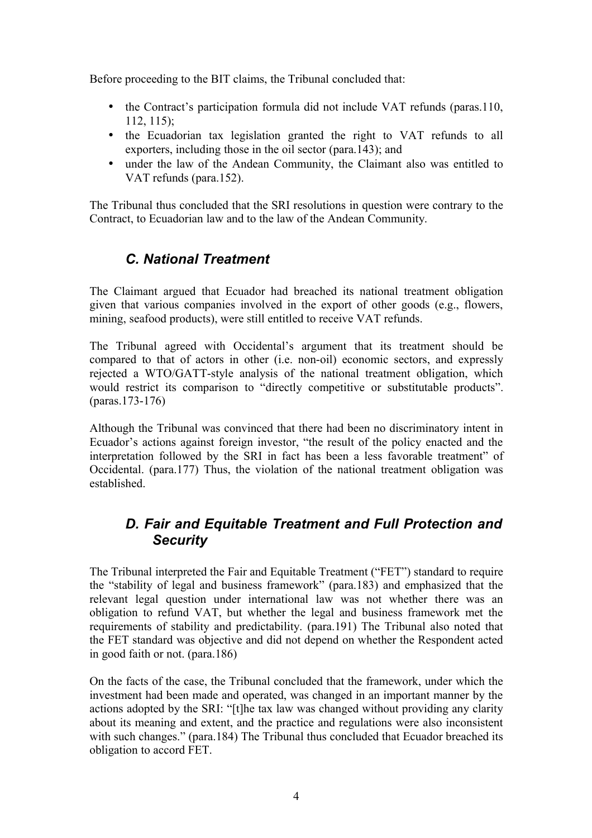Before proceeding to the BIT claims, the Tribunal concluded that:

- the Contract's participation formula did not include VAT refunds (paras.110, 112, 115);
- the Ecuadorian tax legislation granted the right to VAT refunds to all exporters, including those in the oil sector (para.143); and
- under the law of the Andean Community, the Claimant also was entitled to VAT refunds (para.152).

The Tribunal thus concluded that the SRI resolutions in question were contrary to the Contract, to Ecuadorian law and to the law of the Andean Community.

### <span id="page-3-1"></span>*C. National Treatment*

The Claimant argued that Ecuador had breached its national treatment obligation given that various companies involved in the export of other goods (e.g., flowers, mining, seafood products), were still entitled to receive VAT refunds.

The Tribunal agreed with Occidental's argument that its treatment should be compared to that of actors in other (i.e. non-oil) economic sectors, and expressly rejected a WTO/GATT-style analysis of the national treatment obligation, which would restrict its comparison to "directly competitive or substitutable products". (paras.173-176)

Although the Tribunal was convinced that there had been no discriminatory intent in Ecuador's actions against foreign investor, "the result of the policy enacted and the interpretation followed by the SRI in fact has been a less favorable treatment" of Occidental. (para.177) Thus, the violation of the national treatment obligation was established.

### <span id="page-3-0"></span>*D. Fair and Equitable Treatment and Full Protection and Security*

The Tribunal interpreted the Fair and Equitable Treatment ("FET") standard to require the "stability of legal and business framework" (para.183) and emphasized that the relevant legal question under international law was not whether there was an obligation to refund VAT, but whether the legal and business framework met the requirements of stability and predictability. (para.191) The Tribunal also noted that the FET standard was objective and did not depend on whether the Respondent acted in good faith or not. (para.186)

On the facts of the case, the Tribunal concluded that the framework, under which the investment had been made and operated, was changed in an important manner by the actions adopted by the SRI: "[t]he tax law was changed without providing any clarity about its meaning and extent, and the practice and regulations were also inconsistent with such changes." (para.184) The Tribunal thus concluded that Ecuador breached its obligation to accord FET.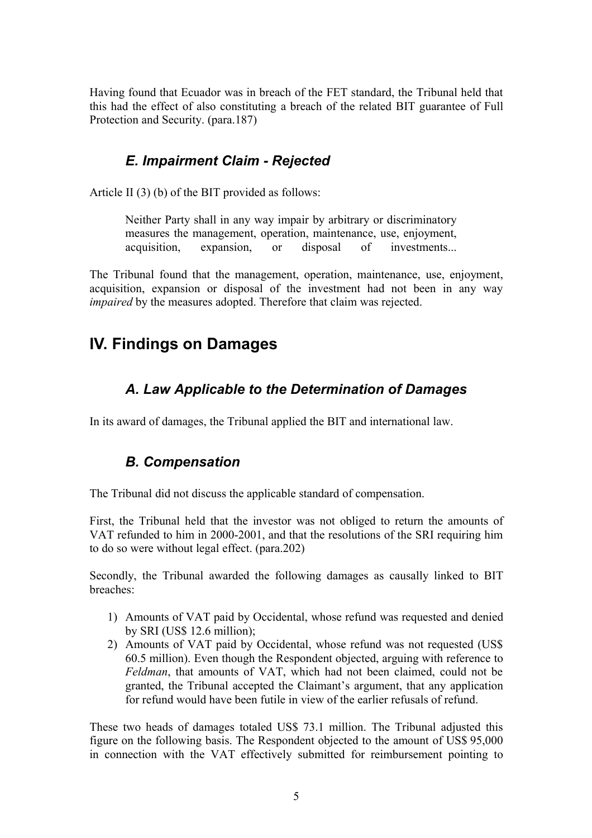Having found that Ecuador was in breach of the FET standard, the Tribunal held that this had the effect of also constituting a breach of the related BIT guarantee of Full Protection and Security. (para.187)

#### <span id="page-4-3"></span>*E. Impairment Claim - Rejected*

Article II (3) (b) of the BIT provided as follows:

Neither Party shall in any way impair by arbitrary or discriminatory measures the management, operation, maintenance, use, enjoyment, acquisition, expansion, or disposal of investments...

The Tribunal found that the management, operation, maintenance, use, enjoyment, acquisition, expansion or disposal of the investment had not been in any way *impaired* by the measures adopted. Therefore that claim was rejected.

## <span id="page-4-2"></span>**IV. Findings on Damages**

#### <span id="page-4-1"></span>*A. Law Applicable to the Determination of Damages*

In its award of damages, the Tribunal applied the BIT and international law.

#### <span id="page-4-0"></span>*B. Compensation*

The Tribunal did not discuss the applicable standard of compensation.

First, the Tribunal held that the investor was not obliged to return the amounts of VAT refunded to him in 2000-2001, and that the resolutions of the SRI requiring him to do so were without legal effect. (para.202)

Secondly, the Tribunal awarded the following damages as causally linked to BIT breaches:

- 1) Amounts of VAT paid by Occidental, whose refund was requested and denied by SRI (US\$ 12.6 million);
- 2) Amounts of VAT paid by Occidental, whose refund was not requested (US\$ 60.5 million). Even though the Respondent objected, arguing with reference to *Feldman*, that amounts of VAT, which had not been claimed, could not be granted, the Tribunal accepted the Claimant's argument, that any application for refund would have been futile in view of the earlier refusals of refund.

These two heads of damages totaled US\$ 73.1 million. The Tribunal adjusted this figure on the following basis. The Respondent objected to the amount of US\$ 95,000 in connection with the VAT effectively submitted for reimbursement pointing to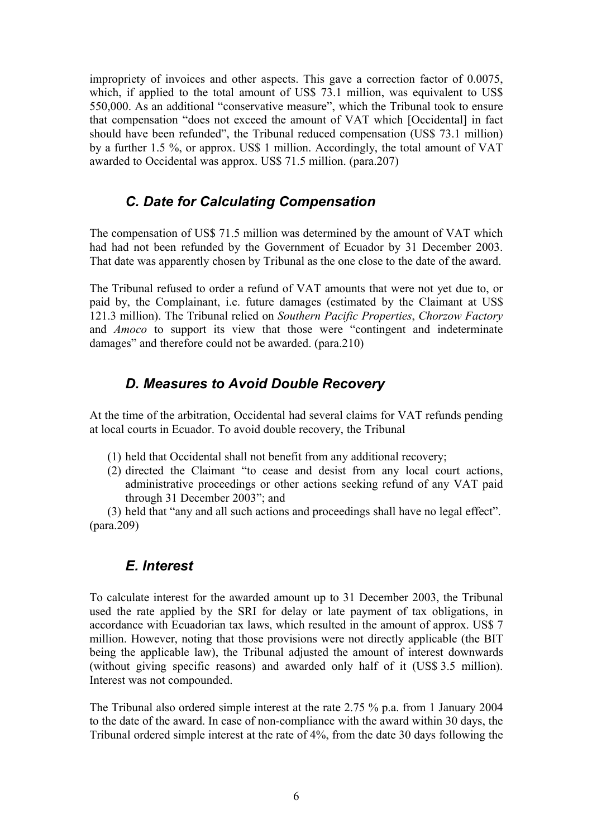impropriety of invoices and other aspects. This gave a correction factor of 0.0075, which, if applied to the total amount of US\$ 73.1 million, was equivalent to US\$ 550,000. As an additional "conservative measure", which the Tribunal took to ensure that compensation "does not exceed the amount of VAT which [Occidental] in fact should have been refunded", the Tribunal reduced compensation (US\$ 73.1 million) by a further 1.5 %, or approx. US\$ 1 million. Accordingly, the total amount of VAT awarded to Occidental was approx. US\$ 71.5 million. (para.207)

#### <span id="page-5-2"></span>*C. Date for Calculating Compensation*

The compensation of US\$ 71.5 million was determined by the amount of VAT which had had not been refunded by the Government of Ecuador by 31 December 2003. That date was apparently chosen by Tribunal as the one close to the date of the award.

The Tribunal refused to order a refund of VAT amounts that were not yet due to, or paid by, the Complainant, i.e. future damages (estimated by the Claimant at US\$ 121.3 million). The Tribunal relied on *Southern Pacific Properties*, *Chorzow Factory* and *Amoco* to support its view that those were "contingent and indeterminate damages" and therefore could not be awarded. (para.210)

### <span id="page-5-1"></span>*D. Measures to Avoid Double Recovery*

At the time of the arbitration, Occidental had several claims for VAT refunds pending at local courts in Ecuador. To avoid double recovery, the Tribunal

- (1) held that Occidental shall not benefit from any additional recovery;
- (2) directed the Claimant "to cease and desist from any local court actions, administrative proceedings or other actions seeking refund of any VAT paid through 31 December 2003"; and

(3) held that "any and all such actions and proceedings shall have no legal effect". (para.209)

#### <span id="page-5-0"></span>*E. Interest*

To calculate interest for the awarded amount up to 31 December 2003, the Tribunal used the rate applied by the SRI for delay or late payment of tax obligations, in accordance with Ecuadorian tax laws, which resulted in the amount of approx. US\$ 7 million. However, noting that those provisions were not directly applicable (the BIT being the applicable law), the Tribunal adjusted the amount of interest downwards (without giving specific reasons) and awarded only half of it (US\$ 3.5 million). Interest was not compounded.

The Tribunal also ordered simple interest at the rate 2.75 % p.a. from 1 January 2004 to the date of the award. In case of non-compliance with the award within 30 days, the Tribunal ordered simple interest at the rate of 4%, from the date 30 days following the